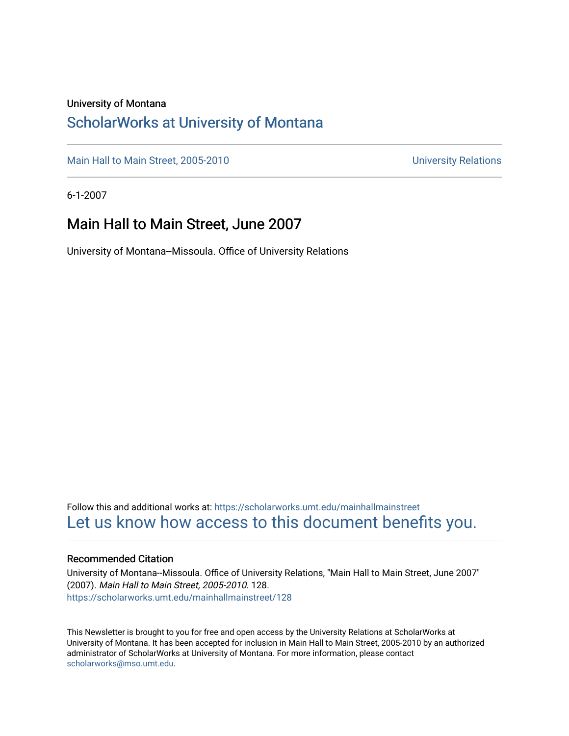#### University of Montana

### [ScholarWorks at University of Montana](https://scholarworks.umt.edu/)

[Main Hall to Main Street, 2005-2010](https://scholarworks.umt.edu/mainhallmainstreet) Main Hall to Main Street, 2005-2010

6-1-2007

### Main Hall to Main Street, June 2007

University of Montana--Missoula. Office of University Relations

Follow this and additional works at: [https://scholarworks.umt.edu/mainhallmainstreet](https://scholarworks.umt.edu/mainhallmainstreet?utm_source=scholarworks.umt.edu%2Fmainhallmainstreet%2F128&utm_medium=PDF&utm_campaign=PDFCoverPages) [Let us know how access to this document benefits you.](https://goo.gl/forms/s2rGfXOLzz71qgsB2) 

#### Recommended Citation

University of Montana--Missoula. Office of University Relations, "Main Hall to Main Street, June 2007" (2007). Main Hall to Main Street, 2005-2010. 128. [https://scholarworks.umt.edu/mainhallmainstreet/128](https://scholarworks.umt.edu/mainhallmainstreet/128?utm_source=scholarworks.umt.edu%2Fmainhallmainstreet%2F128&utm_medium=PDF&utm_campaign=PDFCoverPages)

This Newsletter is brought to you for free and open access by the University Relations at ScholarWorks at University of Montana. It has been accepted for inclusion in Main Hall to Main Street, 2005-2010 by an authorized administrator of ScholarWorks at University of Montana. For more information, please contact [scholarworks@mso.umt.edu.](mailto:scholarworks@mso.umt.edu)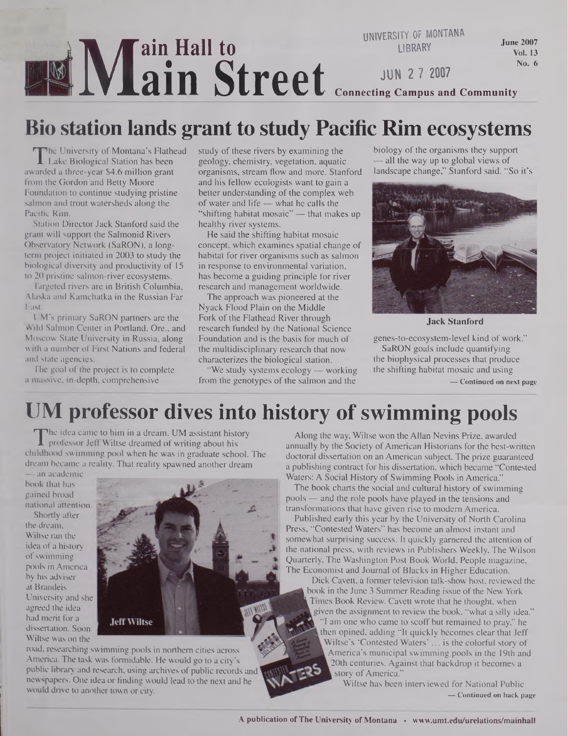#### **M ain Hall to ain Street UNIVERSITY OF MONTANA LIBRARY JUN 2 7 2007** June 2007 Vol. 13 No. 6 **Connecting Campus and Community**

### **Bio station lands grant to study Pacific Rim ecosystems**

T<br><sub>varde</sub> The University of Montana's Flathead Lake Biological Station has been awarded a three-year \$4.6 million grant from the Gordon and Betty Moore Foundation to continue studying pristine salmon and trout watersheds along the Pacific Rim.

Station Director Jack Stanford said the grant will support the Salmonid Rivers Observatory Network (SaRON), a longterm project initiated in 2003 to study the biological diversity and productivity of 15 to 20 pristine salmon-river ecosystems.

Targeted rivers are in British Columbia, Alaska and Kamchatka in the Russian Far East.

UM's primary SaRON partners are the Wild Salmon Center in Portland, Ore., and Moscow State University in Russia, along with a number of First Nations and federal and state agencies.

The goal of the project is to complete a massive, in-depth, comprehensive

study of these rivers by examining the geology, chemistry, vegetation, aquatic organisms, stream flow and more. Stanford and his fellow ecologists want to gain a better understanding of the complex web of water and life— what he calls the "shifting habitat mosaic" — that makes up healthy river systems.

He said the shifting habitat mosaic concept, which examines spatial change of habitat for river organisms such as salmon in response to environmental variation, has become a guiding principle for river research and management worldwide.

The approach was pioneered at the Nyack Flood Plain on the Middle Fork of the Flathead River through research funded by the National Science Foundation and is the basis for much of the multidisciplinary research that now characterizes the biological station.

"We study systems ecology — working from the genotypes of the salmon and the

biology of the organisms they support — all the way up to global views of landscape change," Stanford said. "So it's



**Jack Stanford**

genes-to-ecosystem-level kind of work." SaRON goals include quantifying the biophysical processes that produce the shifting habitat mosaic and using

**— Continued on next page**

### **UM professor dives into history of swimming pools**

The idea came to film in a dream. UM assistant history<br>professor Jeff Wiltse dreamed of writing about his<br>ildhood swimming pool when he was in graduate school. The he idea came to him in a dream. UM assistant history professor Jeff Wiltse dreamed of writing about his dream became a reality. That reality spawned another dream

— an academic book that has gained broad national attention.

Shortly after the dream, Wiltse ran the idea of a history ofswimming pools in America by his adviser at Brandeis University and she agreed the idea had merit for a dissertation. Soon Wiltse was on the



road, researching swimming pools in northern cities across America. The task was formidable. He would go to a city's public library and research, using archives of public records and newspapers. One idea or finding would lead to the next and he would drive to another town or city.

Along the way, Wiltse won the Allan Nevins Prize, awarded annually by the Society of American Historians for the best-written doctoral dissertation on an American subject. The prize guaranteed a publishing contract for his dissertation, which became "Contested Waters: A Social History of Swimming Pools in America."

The book charts the social and cultural history of swimming pools — and the role pools have played in the tensions and transformations that have given rise to modem America.

Published early this year by the University of North Carolina Press, "Contested Waters" has become an almost instant and somewhat surprising success. It quickly garnered the attention of the national press, with reviews in Publishers Weekly, The Wilson Quarterly, The Washington Post Book World, People magazine, The Economist and Journal of Blacks in Higher Education.

Dick Cavett, a former television talk-show host, reviewed the book in the June 3 Summer Reading issue of the New York Times Book Review. Cavett wrote that he thought, when given the assignment to review the book, "what a silly idea." "I am one who came to scoff but remained to pray," he then opined, adding "It quickly becomes clear that Jeff Wiltse's 'Contested Waters'... is the colorful story of America's municipal swimming pools in the 19th and 20th centuries. Against that backdrop it becomes a story of America."

Wiltse has been interviewed for National Public **— Continued on back page**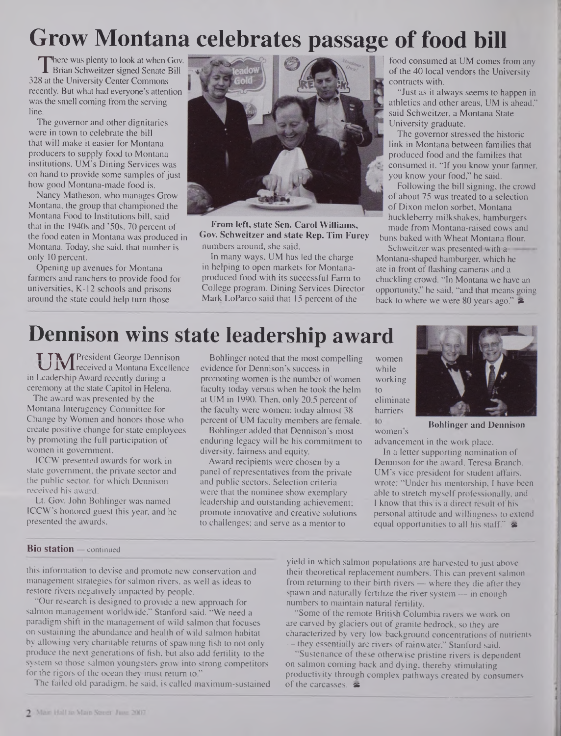# **Grow Montana celebrates passage of food bill**

 $\frac{1}{8}$ at here was plenty to look at when Gov. Brian Schweitzer signed Senate Bill 328 at the University Center Commons recently. But what had everyone's attention was the smell coming from the serving line.

The governor and other dignitaries were in town to celebrate the bill that will make it easier for Montana producers to supply food to Montana institutions. UM's Dining Services was on hand to provide some samples of just how good Montana-made food is.

Nancy Matheson, who manages Grow Montana, the group that championed the Montana Food to Institutions bill, said that in the 1940s and '50s, 70 percent of the food eaten in Montana was produced in Montana. Today, she said, that number is only 10 percent.

Opening up avenues for Montana farmers and ranchers to provide food for universities, K-12 schools and prisons around the state could help turn those



**From left, state Sen. Carol Williams, Gov. Schweitzer and state Rep. Tim Furey** numbers around, she said.

In many ways, UM has led the charge in helping to open markets for Montanaproduced food with its successful Farm to College program. Dining Services Director Mark LoParco said that 15 percent of the

food consumed at UM comes from any of the 40 local vendors the University contracts with.

"Just as it always seems to happen in athletics and other areas, UM is ahead," said Schweitzer, a Montana State University graduate.

The governor stressed the historic link in Montana between families that produced food and the families that consumed it. "If you know your farmer, you know your food," he said.

Following the bill signing, the crowd of about 75 was treated to a selection of Dixon melon sorbet, Montana huckleberry milkshakes, hamburgers made from Montana-raised cows and buns baked with Wheat Montana flour.

Schweitzer was presented with a Montana-shaped hamburger, which he ate in front of flashing cameras and a chuckling crowd. "In Montana we have an opportunity," he said, "and that means going back to where we were 80 years ago."  $\approx$ 

## **Dennison wins state leadership award**

UM President George Dennison<br>UM received a Montana Excellence in Leadership Award recently during a ceremony at the state Capitol in Helena.

The award was presented by the Montana Interagency Committee for Change by Women and honors those who create positive change for state employees by promoting the full participation of women in government.

ICCW presented awards for work in state government, the private sector and the public sector, for which Dennison received his award.

Lt. Gov. John Bohlinger was named ICCW's honored guest this year, and he presented the awards.

Bohlinger noted that the most compelling evidence for Dennison's success in promoting women is the number of women faculty today versus when he took the helm at UM in 1990. Then, only 20.5 percent of the faculty were women; today almost 38 percent of UM faculty members are female.

Bohlinger added that Dennison's most enduring legacy will be his commitment to diversity, fairness and equity.

Award recipients were chosen by a panel of representatives from the private and public sectors. Selection criteria were that the nominee show exemplary leadership and outstanding achievement; promote innovative and creative solutions to challenges; and serve as a mentor to

women while working to eliminate barriers to women s



**Bohlinger and Dennison**

advancement in the work place.

In a letter supporting nomination of Dennison for the award, Teresa Branch, UM's vice president for student affairs, wrote: "Under his mentorship, I have been able to stretch myself professionally, and I know that this is a direct result of his personal attitude and willingness to extend equal opportunities to all his staff."  $\approx$ 

#### **Bio station —** continued

this information to devise and promote new conservation and management strategies for salmon rivers, as well as ideas to restore rivers negatively impacted by people.

"Our research is designed to provide a new approach for salmon management worldwide," Stanford said. "We need a paradigm shift in the management of wild salmon that focuses on sustaining the abundance and health of wild salmon habitat by allowing very charitable returns of spawning fish to not only produce the next generations of fish, but also add fertility to the system so those salmon youngsters grow into strong competitors for the rigors of the ocean they must return to."

The failed old paradigm, he said, is called maximum-sustained

yield in which salmon populations are harvested to just above their theoretical replacement numbers. This can prevent salmon from returning to their birth rivers — where they die after they spawn and naturally fertilize the river system — in enough numbers to maintain natural fertility.

"Some of the remote British Columbia rivers we work on are carved by glaciers out of granite bedrock, so they are characterized by very low background concentrations of nutrients — they essentially are rivers of rainwater," Stanford said.

"Sustenance of these otherwise pristine rivers is dependent on salmon coming back and dying, thereby stimulating productivity through complex pathways created by consumers of the carcasses.  $\approx$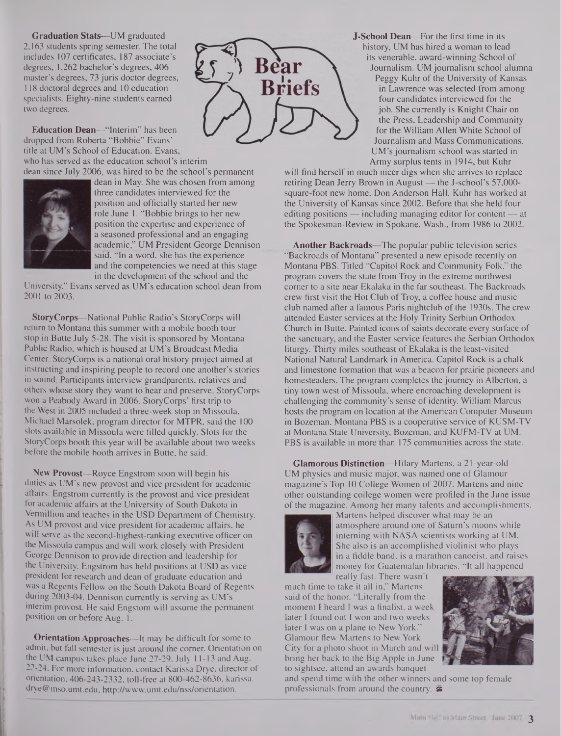**Graduation Stats—**UM graduated 2,163 students spring semester. The total includes 107 certificates, 187 associate's degrees, 1,262 bachelor's degrees, 406 master's degrees, 73 juris doctor degrees, 118 doctoral degrees and 10 education specialists. Eighty-nine students earned two degrees.

**Education Dean—**"Interim" has been dropped from Roberta "Bobbie" Evans' title at UM's School of Education. Evans, who has served as the education school's interim dean since July 2006, was hired to be the school's permanent



dean in May. She was chosen from among three candidates interviewed for the position and officially started her new role June 1. "Bobbie brings to her new position the expertise and experience of a seasoned professional and an engaging academic," UM President George Dennison said. "In a word, she has the experience and the competencies we need at this stage in the development of the school and the

University." Evans served as UM's education school dean from 2001 to 2003.

**StoryCorps—**National Public Radio's StoryCorps will return to Montana this summer with a mobile booth tour stop in Butte July 5-28. The visit is sponsored by Montana Public Radio, which is housed at UM's Broadcast Media Center. StoryCorps is a national oral history project aimed at instructing and inspiring people to record one another's stories in sound. Participants interview grandparents, relatives and others whose story they want to hear and preserve. StoryCorps won a Peabody Award in 2006. StoryCorps' first trip to the West in 2005 included a three-week stop in Missoula. Michael Marsolek, program director for MTPR, said the 100 slots available in Missoula were filled quickly. Slots for the StoryCorps booth this year will be available about two weeks before the mobile booth arrives in Butte, he said.

**New Provost—**Royce Engstrom soon will begin his duties as UM's new provost and vice president for academic affairs. Engstrom currently is the provost and vice president for academic affairs at the University of South Dakota in Vermillion and teaches in the USD Department of Chemistry. As UM provost and vice president for academic affairs, he will serve as the second-highest-ranking executive officer on the Missoula campus and will work closely with President George Dennison to provide direction and leadership for the University. Engstrom has held positions at USD as vice president for research and dean of graduate education and was a Regents Fellow on the South Dakota Board of Regents during 2003-04. Dennison currently is serving as UM's interim provost. He said Engstom will assume the permanent position on or before Aug. 1.

**Orientation Approaches—**It may be difficult for some to admit, but fall semester is just around the corner. Orientation on the UM campus takes place June 27-29, July 11-13 and Aug. 22-24. For more information, contact Karissa Drye, director of orientation, 406-243-2332, toll-free at 800-462-8636, karissa. [drye@mso.umt.edu](mailto:drye@mso.umt.edu), <http://www.umt.edu/nss/orientation>.



**-School Dean—**For the first time in its history, UM has hired a woman to lead its venerable, award-winning School of Journalism. UM journalism school alumna

Peggy Kuhr of the University of Kansas in Lawrence was selected from among four candidates interviewed for the job. She currently is Knight Chair on the Press, Leadership and Community for the William Allen White School of Journalism and Mass Communications. UM's journalism school was started in Army surplus tents in 1914, but Kuhr

will find herself in much nicer digs when she arrives to replace retiring Dean Jerry Brown in August — the J-school's 57,000 square-foot new home, Don Anderson Hall. Kuhr has worked at the University of Kansas since 2002. Before that she held four editing positions — including managing editor for content — at the Spokesman-Review in Spokane, Wash., from 1986 to 2002.

**Another Backroads—**The popular public television series "Backroads of Montana" presented a new episode recently on Montana PBS. Titled "Capitol Rock and Community Folk," the program covers the state from Troy in the extreme northwest comer to a site near Ekalaka in the far southeast. The Backroads crew first visit the Hot Club of Troy, a coffee house and music club named after a famous Paris nightclub of the 1930s. The crew attended Easter services at the Holy Trinity Serbian Orthodox Church in Butte. Painted icons of saints decorate every surface of the sanctuary, and the Easter service features the Serbian Orthodox liturgy. Thirty miles southeast of Ekalaka is the least-visited National Natural Landmark in America. Capitol Rock is a chalk and limestone formation that was a beacon for prairie pioneers and homesteaders. The program completes the journey in Alberton, a tiny town west of Missoula, where encroaching development is challenging the community's sense of identity. William Marcus hosts the program on location at the American Computer Museum in Bozeman. Montana PBS is a cooperative service of KUSM-TV at Montana State University, Bozeman, and KUFM-TV at UM. PBS is available in more than 175 communities across the state.

**Glamorous Distinction—**Hilary Martens, a 21-year-old UM physics and music major, was named one of Glamour magazine's Top 10 College Women of 2007. Martens and nine other outstanding college women were profiled in the June issue of the magazine. Among her many talents and accomplishments,



Martens helped discover what may be an atmosphere around one of Saturn's moons while interning with NASA scientists working at UM. She also is an accomplished violinist who plays in a fiddle band, is a marathon canoeist, and raises money for Guatemalan libraries. "It all happened

really fast. There wasn't much time to take it all in," Martens said of the honor. "Literally from the moment I heard I was a finalist, a week later I found out I won and two weeks later I was on a plane to New York." Glamour flew Martens to New York City for a photo shoot in March and will bring her back to the Big Apple in June to sightsee, attend an awards banquet



and spend time with the other winners and some top female professionals from around the country. &